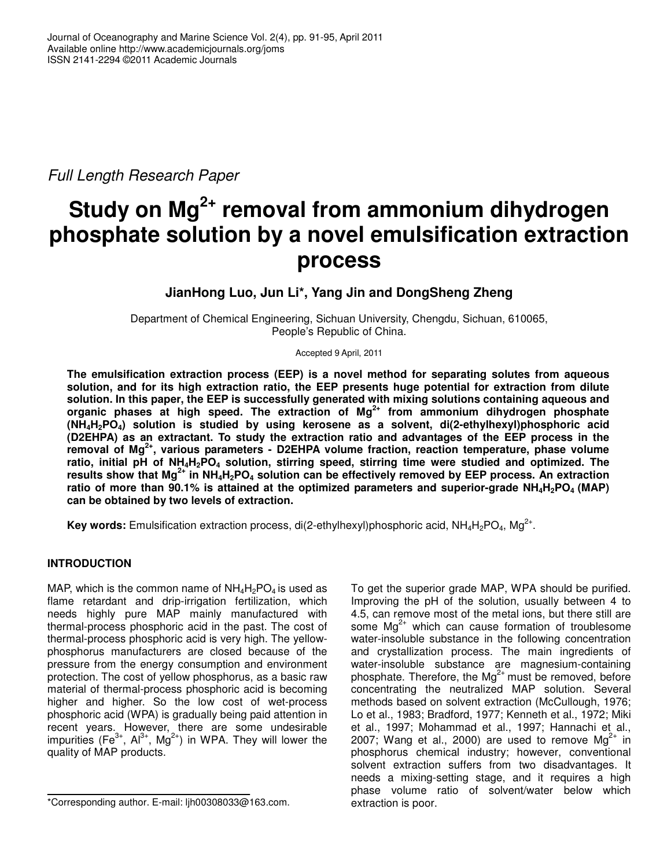*Full Length Research Paper*

# **Study on Mg 2+ removal from ammonium dihydrogen phosphate solution by a novel emulsification extraction process**

**JianHong Luo, Jun Li\*, Yang Jin and DongSheng Zheng**

Department of Chemical Engineering, Sichuan University, Chengdu, Sichuan, 610065, People's Republic of China.

Accepted 9 April, 2011

**The emulsification extraction process (EEP) is a novel method for separating solutes from aqueous solution, and for its high extraction ratio, the EEP presents huge potential for extraction from dilute solution. In this paper, the EEP is successfully generated with mixing solutions containing aqueous and organic phases at high speed. The extraction of Mg 2+ from ammonium dihydrogen phosphate (NH4H2PO4) solution is studied by using kerosene as a solvent, di(2-ethylhexyl)phosphoric acid (D2EHPA) as an extractant. To study the extraction ratio and advantages of the EEP process in the removal of Mg 2+ , various parameters - D2EHPA volume fraction, reaction temperature, phase volume** ratio, initial pH of NH<sub>4</sub>H<sub>2</sub>PO<sub>4</sub> solution, stirring speed, stirring time were studied and optimized. The results show that Mg<sup>2+</sup> in NH<sub>4</sub>H<sub>2</sub>PO<sub>4</sub> solution can be effectively removed by EEP process. An extraction ratio of more than 90.1% is attained at the optimized parameters and superior-grade  $NH_4H_2PO_4 (MAP)$ **can be obtained by two levels of extraction.**

Key words: Emulsification extraction process, di(2-ethylhexyl)phosphoric acid, NH<sub>4</sub>H<sub>2</sub>PO<sub>4</sub>, Mg<sup>2+</sup>.

## **INTRODUCTION**

MAP, which is the common name of  $NH_4H_2PO_4$  is used as flame retardant and drip-irrigation fertilization, which needs highly pure MAP mainly manufactured with thermal-process phosphoric acid in the past. The cost of thermal-process phosphoric acid is very high. The yellowphosphorus manufacturers are closed because of the pressure from the energy consumption and environment protection. The cost of yellow phosphorus, as a basic raw material of thermal-process phosphoric acid is becoming higher and higher. So the low cost of wet-process phosphoric acid (WPA) is gradually being paid attention in recent years. However, there are some undesirable impurities (Fe<sup>3+</sup>, Al<sup>3+</sup>, Mg<sup>2+</sup>) in WPA. They will lower the quality of MAP products.

To get the superior grade MAP, WPA should be purified. Improving the pH of the solution, usually between 4 to 4.5, can remove most of the metal ions, but there still are some  $Mg^{2+}$  which can cause formation of troublesome water-insoluble substance in the following concentration and crystallization process. The main ingredients of water-insoluble substance are magnesium-containing phosphate. Therefore, the Mg<sup>2+</sup> must be removed, before concentrating the neutralized MAP solution. Several methods based on solvent extraction (McCullough, 1976; Lo et al., 1983; Bradford, 1977; Kenneth et al., 1972; Miki et al., 1997; Mohammad et al., 1997; Hannachi et al., 2007; Wang et al., 2000) are used to remove  $Mg^{2+}$  in phosphorus chemical industry; however, conventional solvent extraction suffers from two disadvantages. It needs a mixing-setting stage, and it requires a high phase volume ratio of solvent/water below which extraction is poor.

<sup>\*</sup>Corresponding author. E-mail: ljh00308033@163.com.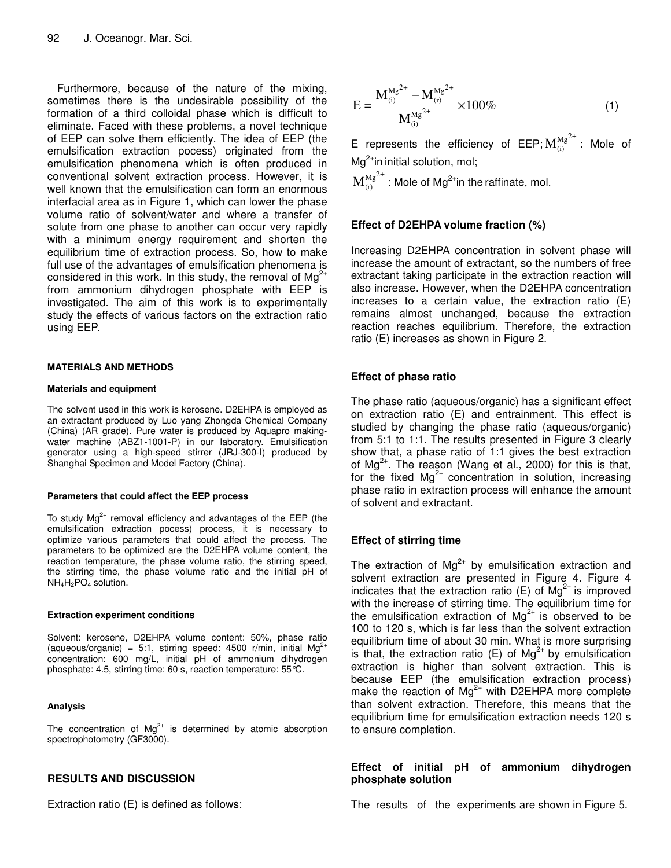Furthermore, because of the nature of the mixing, sometimes there is the undesirable possibility of the formation of a third colloidal phase which is difficult to eliminate. Faced with these problems, a novel technique of EEP can solve them efficiently. The idea of EEP (the emulsification extraction pocess) originated from the emulsification phenomena which is often produced in conventional solvent extraction process. However, it is well known that the emulsification can form an enormous interfacial area as in Figure 1, which can lower the phase volume ratio of solvent/water and where a transfer of solute from one phase to another can occur very rapidly with a minimum energy requirement and shorten the equilibrium time of extraction process. So, how to make full use of the advantages of emulsification phenomena is considered in this work. In this study, the removal of Mg<sup>2+</sup> from ammonium dihydrogen phosphate with EEP is investigated. The aim of this work is to experimentally study the effects of various factors on the extraction ratio using EEP.

#### **MATERIALS AND METHODS**

#### **Materials and equipment**

The solvent used in this work is kerosene. D2EHPA is employed as an extractant produced by Luo yang Zhongda Chemical Company (China) (AR grade). Pure water is produced by Aquapro makingwater machine (ABZ1-1001-P) in our laboratory. Emulsification generator using a high-speed stirrer (JRJ-300-I) produced by Shanghai Specimen and Model Factory (China).

#### **Parameters that could affect the EEP process**

To study  $Mg^{2+}$  removal efficiency and advantages of the EEP (the emulsification extraction pocess) process, it is necessary to optimize various parameters that could affect the process. The parameters to be optimized are the D2EHPA volume content, the reaction temperature, the phase volume ratio, the stirring speed, the stirring time, the phase volume ratio and the initial pH of  $NH_4H_2PO_4$  solution.

#### **Extraction experiment conditions**

Solvent: kerosene, D2EHPA volume content: 50%, phase ratio (aqueous/organic) = 5:1, stirring speed: 4500 r/min, initial Mg<sup>2+</sup> concentration: 600 mg/L, initial pH of ammonium dihydrogen phosphate: 4.5, stirring time: 60 s, reaction temperature: 55°C.

#### **Analysis**

The concentration of  $Mg^{2+}$  is determined by atomic absorption spectrophotometry (GF3000).

## **RESULTS AND DISCUSSION**

Extraction ratio (E) is defined as follows:

$$
E = \frac{M_{(i)}^{Mg^{2+}} - M_{(r)}^{Mg^{2+}}}{M_{(i)}^{Mg^{2+}}} \times 100\%
$$
 (1)

E represents the efficiency of EEP; $\textbf{M}_{\text{(i)}}^{\text{Mg}^{2+}}$ : Mole of Mg<sup>2+</sup>in initial solution, mol;

 $\mathbf{M}_{\scriptscriptstyle(\mathrm{r})}^{\mathrm{Mg}^{2+}}$  : Mole of Mg $^{2+}$ in the raffinate, mol.

## **Effect of D2EHPA volume fraction (%)**

Increasing D2EHPA concentration in solvent phase will increase the amount of extractant, so the numbers of free extractant taking participate in the extraction reaction will also increase. However, when the D2EHPA concentration increases to a certain value, the extraction ratio (E) remains almost unchanged, because the extraction reaction reaches equilibrium. Therefore, the extraction ratio (E) increases as shown in Figure 2.

## **Effect of phase ratio**

The phase ratio (aqueous/organic) has a significant effect on extraction ratio (E) and entrainment. This effect is studied by changing the phase ratio (aqueous/organic) from 5:1 to 1:1. The results presented in Figure 3 clearly show that, a phase ratio of 1:1 gives the best extraction of Mg<sup>2+</sup>. The reason (Wang et al., 2000) for this is that, for the fixed  $Mg^{2+}$  concentration in solution, increasing phase ratio in extraction process will enhance the amount of solvent and extractant.

## **Effect of stirring time**

The extraction of  $Mg^{2+}$  by emulsification extraction and solvent extraction are presented in Figure 4. Figure 4 indicates that the extraction ratio (E) of  $Mg^{2+}$  is improved with the increase of stirring time. The equilibrium time for the emulsification extraction of  $Mg^{2+}$  is observed to be 100 to 120 s, which is far less than the solvent extraction equilibrium time of about 30 min. What is more surprising is that, the extraction ratio (E) of  $Mg^{2+}$  by emulsification extraction is higher than solvent extraction. This is because EEP (the emulsification extraction process) make the reaction of Mg<sup>2+</sup> with D2EHPA more complete than solvent extraction. Therefore, this means that the equilibrium time for emulsification extraction needs 120 s to ensure completion.

## **Effect of initial pH of ammonium dihydrogen phosphate solution**

The results of the experiments are shown in Figure 5.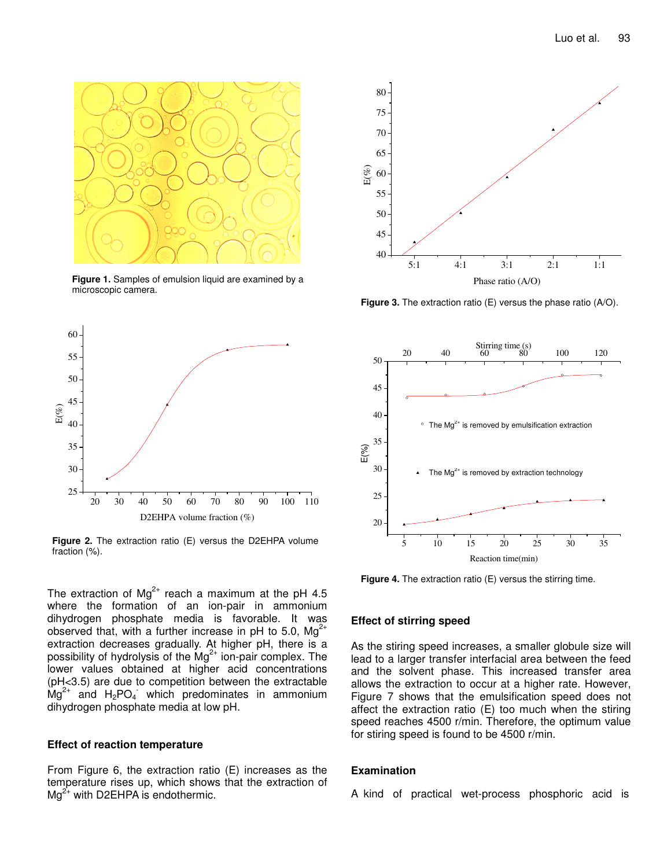

**Figure 1.** Samples of emulsion liquid are examined by a microscopic camera.



**Figure 2.** The extraction ratio (E) versus the D2EHPA volume fraction (%).

The extraction of Mg<sup>2+</sup> reach a maximum at the pH 4.5 where the formation of an ion-pair in ammonium dihydrogen phosphate media is favorable. It was observed that, with a further increase in pH to 5.0, Mg<sup>2+</sup> extraction decreases gradually. At higher pH, there is a possibility of hydrolysis of the  $Mg^{2+}$  ion-pair complex. The lower values obtained at higher acid concentrations (pH<3.5) are due to competition between the extractable  $\text{Mg}^{2+}$  and  $\text{H}_2$ PO<sub>4</sub> which predominates in ammonium dihydrogen phosphate media at low pH.

### **Effect of reaction temperature**

From Figure 6, the extraction ratio (E) increases as the temperature rises up, which shows that the extraction of  $Mg^{2+}$  with D2EHPA is endothermic.



**Figure 3.** The extraction ratio (E) versus the phase ratio (A/O).



**Figure 4.** The extraction ratio (E) versus the stirring time.

## **Effect of stirring speed**

As the stiring speed increases, a smaller globule size will lead to a larger transfer interfacial area between the feed and the solvent phase. This increased transfer area allows the extraction to occur at a higher rate. However, Figure 7 shows that the emulsification speed does not affect the extraction ratio (E) too much when the stiring speed reaches 4500 r/min. Therefore, the optimum value for stiring speed is found to be 4500 r/min.

#### **Examination**

A kind of practical wet-process phosphoric acid is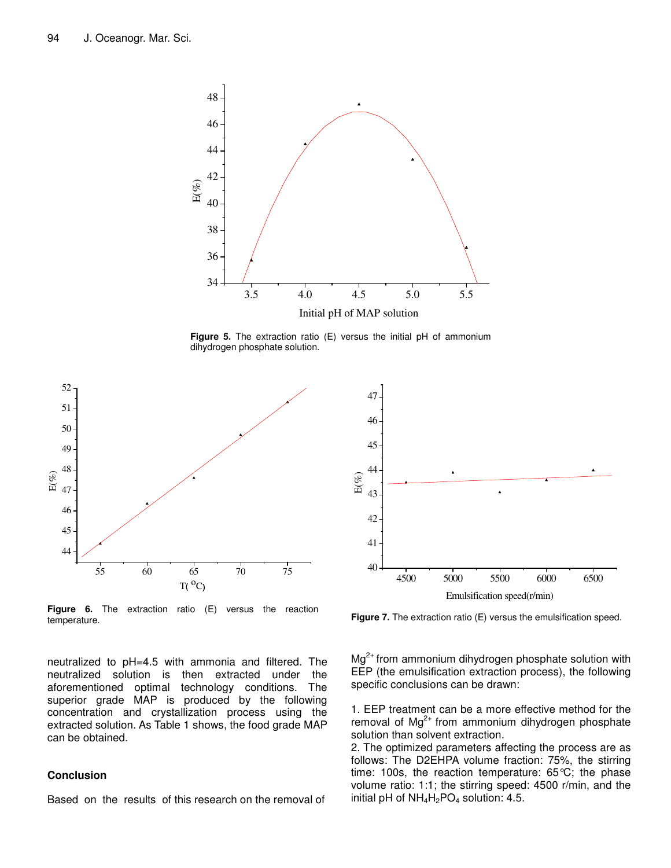

**Figure 5.** The extraction ratio (E) versus the initial pH of ammonium dihydrogen phosphate solution.



**Figure 6.** The extraction ratio (E) versus the reaction temperature.

neutralized to pH=4.5 with ammonia and filtered. The neutralized solution is then extracted under the neutralized solution is then extracted aforementioned optimal technology conditions. The superior grade MAP is produced by the following concentration and crystallization process using the extracted solution. As Table 1 shows, the food grade MAP can be obtained.

#### **Conclusion**

Based on the results of this research on the removal of



**Figure 7.** The extraction ratio (E) versus the emulsification speed.

 $Mg^{2+}$  from ammonium dihydrogen phosphate solution with EEP (the emulsification extraction process), the following specific conclusions can be drawn:

1. EEP treatment can be a more effective method for the removal of Mg<sup>2+</sup> from ammonium dihydrogen phosphate solution than solvent extraction.

2. The optimized parameters affecting the process are as follows: The D2EHPA volume fraction: 75%, the stirring time: 100s, the reaction temperature: 65°C; the phase volume ratio: 1:1; the stirring speed: 4500 r/min, and the initial pH of  $NH_4H_2PO_4$  solution: 4.5.